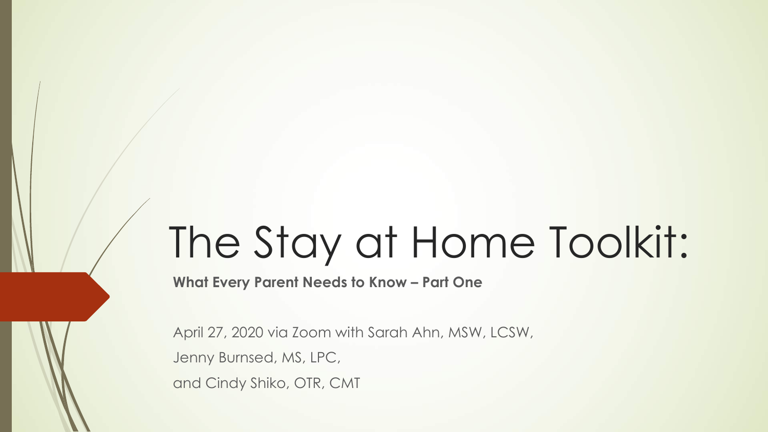# The Stay at Home Toolkit:

**What Every Parent Needs to Know – Part One**

April 27, 2020 via Zoom with Sarah Ahn, MSW, LCSW, Jenny Burnsed, MS, LPC, and Cindy Shiko, OTR, CMT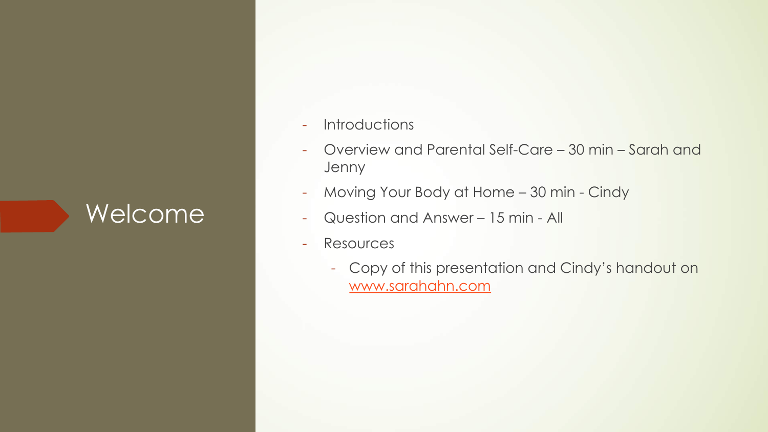#### Welcome

- Introductions
- Overview and Parental Self-Care 30 min Sarah and Jenny
- Moving Your Body at Home 30 min Cindy
- Question and Answer 15 min All
- Resources
	- Copy of this presentation and Cindy's handout on [www.sarahahn.com](https://sarahahn.com/stay-at-home-resources/)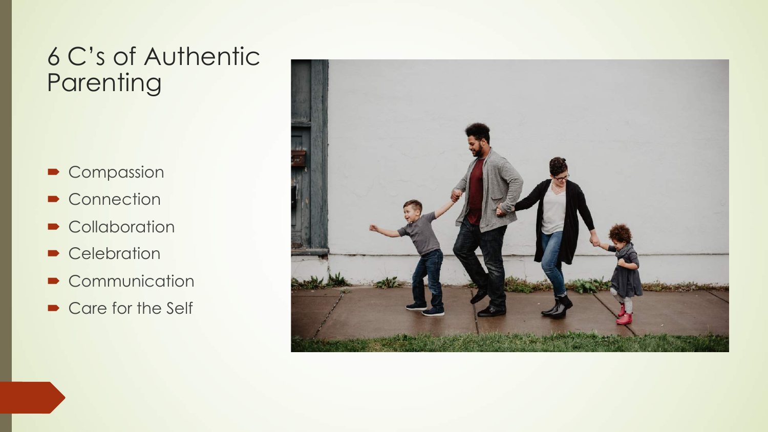#### 6 C's of Authentic **Parenting**

- Compassion
- Connection
- Collaboration
- Celebration
- Communication
- Care for the Self

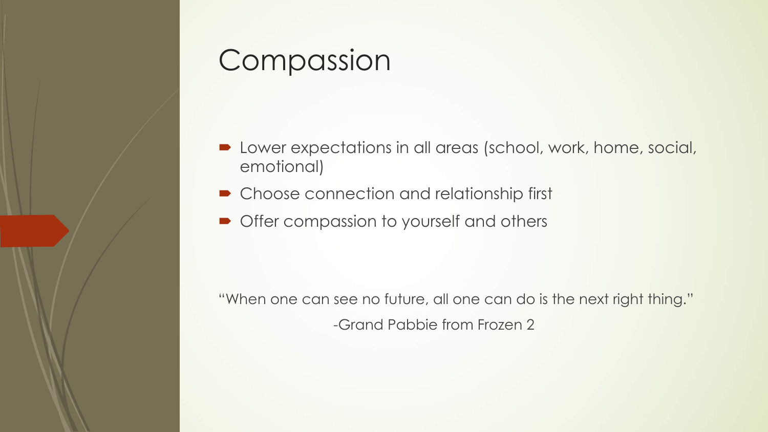### **Compassion**

- Lower expectations in all areas (school, work, home, social, emotional)
- Choose connection and relationship first
- Offer compassion to yourself and others

"When one can see no future, all one can do is the next right thing." -Grand Pabbie from Frozen 2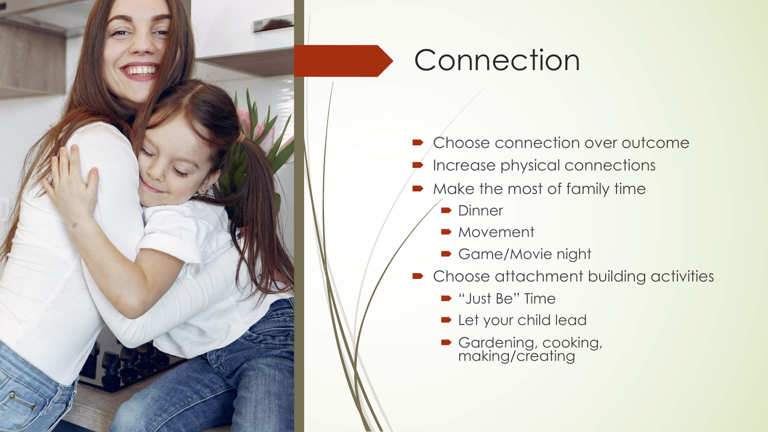



- Choose connection over outcome
- Increase physical connections
- $\blacktriangleright$  Make the most of family time
	- Dinner
	- Movement
	- Game/Movie night
- Choose attachment building activities
	- "Just Be" Time
	- Let your child lead
	- Gardening, cooking, making/creating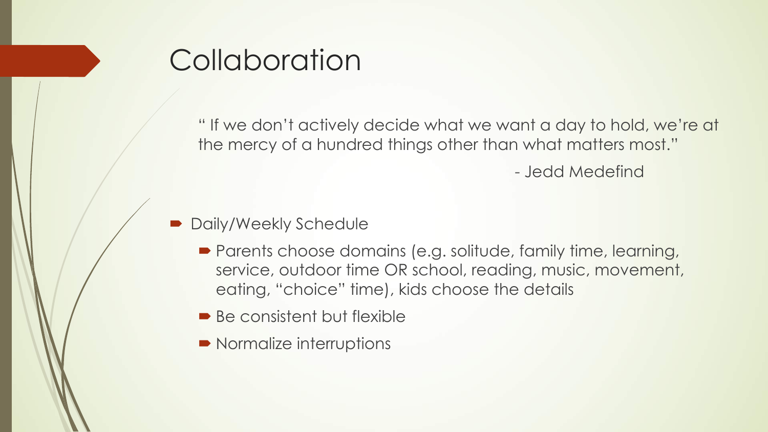### **Collaboration**

" If we don't actively decide what we want a day to hold, we're at the mercy of a hundred things other than what matters most."

- Jedd Medefind

- Daily/Weekly Schedule
	- Parents choose domains (e.g. solitude, family time, learning, service, outdoor time OR school, reading, music, movement, eating, "choice" time), kids choose the details
	- $\blacktriangleright$  Be consistent but flexible
	- $\blacktriangleright$  Normalize interruptions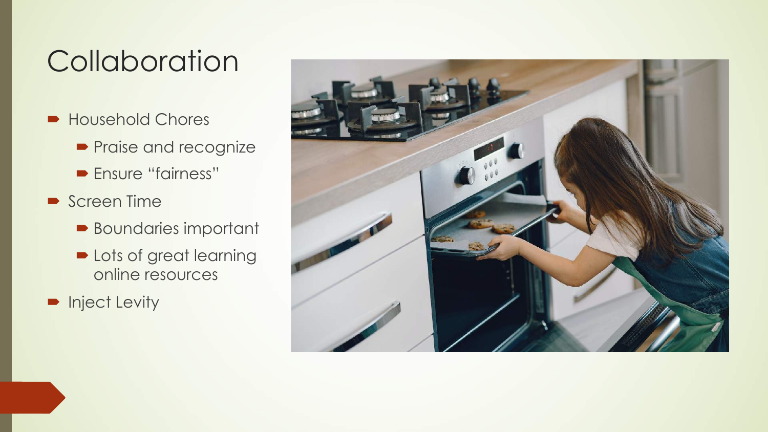# **Collaboration**

- Household Chores
	- Praise and recognize
	- **Ensure "fairness"**
- $\blacktriangleright$  Screen Time
	- **Boundaries important**
	- $\blacktriangleright$  Lots of great learning online resources
- **•** Inject Levity

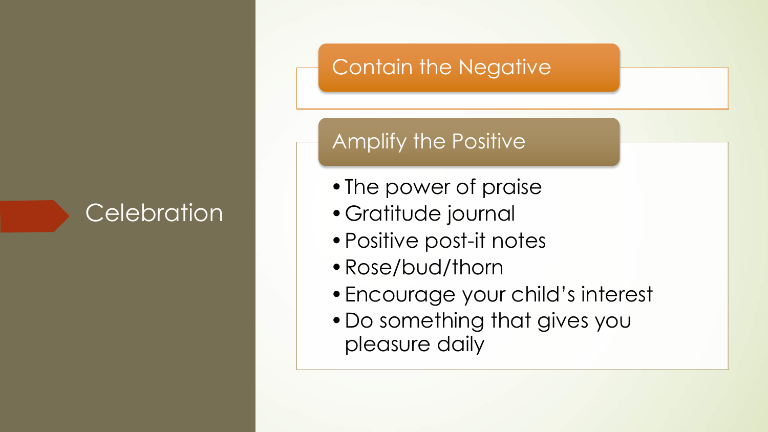#### **Celebration**

#### Contain the Negative

#### Amplify the Positive

- •The power of praise
- •Gratitude journal
- •Positive post-it notes
- •Rose/bud/thorn
- •Encourage your child's interest
- •Do something that gives you pleasure daily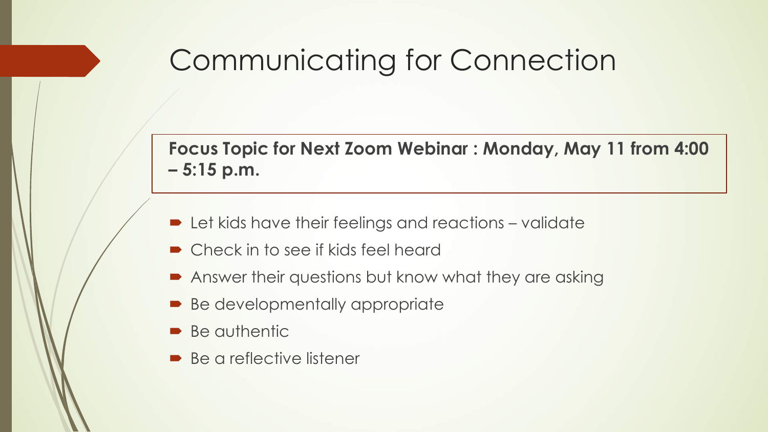### Communicating for Connection

#### **Focus Topic for Next Zoom Webinar : Monday, May 11 from 4:00 – 5:15 p.m.**

- $\blacktriangleright$  Let kids have their feelings and reactions validate
- $\bullet$  Check in to see if kids feel heard
- Answer their questions but know what they are asking
- Be developmentally appropriate
- $\triangleright$  Be authentic
- $\rightarrow$  Be a reflective listener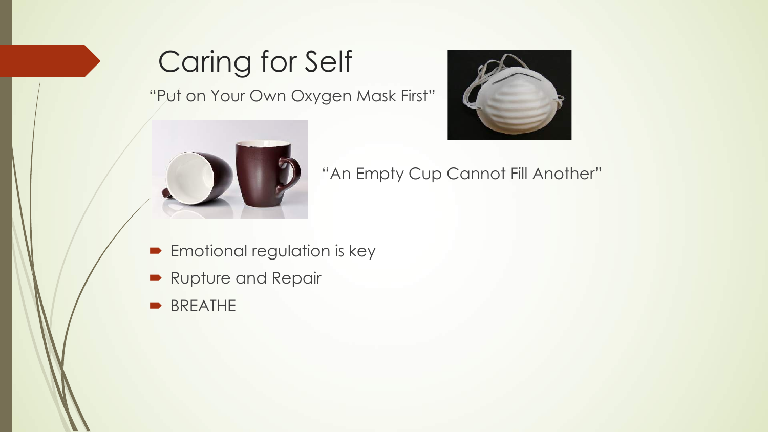# Caring for Self

#### "Put on Your Own Oxygen Mask First"





- **Emotional regulation is key**
- Rupture and Repair
- **BREATHE**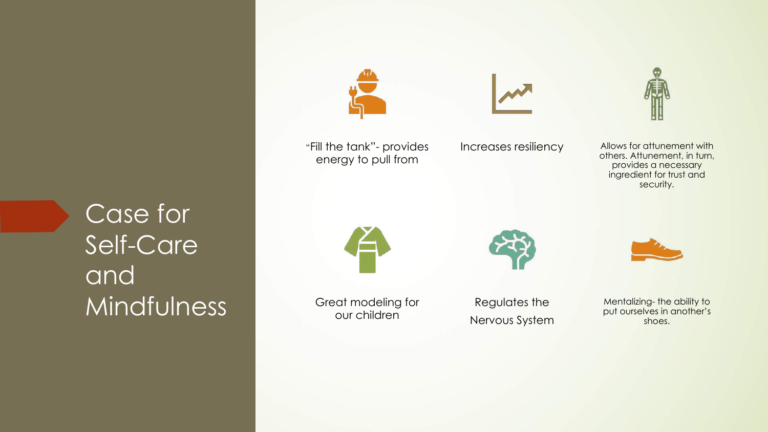

"Fill the tank"- provides energy to pull from



Case for Self-Care and Mindfulness



Great modeling for our children



Regulates the Nervous System



Mentalizing- the ability to put ourselves in another's shoes.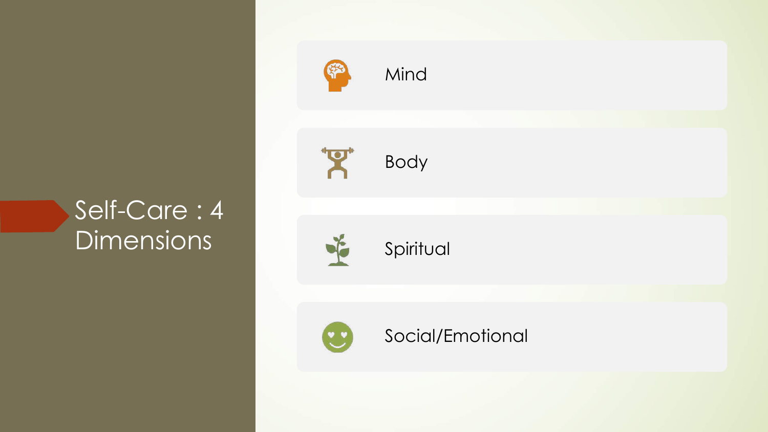#### Self-Care : 4 Dimensions

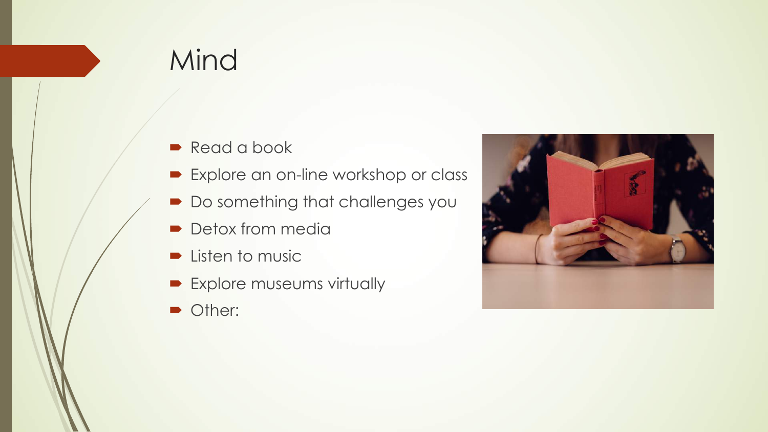### Mind

- Read a book
- Explore an on-line workshop or class
- $\blacksquare$  Do something that challenges you
- Detox from media
- $\blacktriangleright$  Listen to music
- **Explore museums virtually**
- Other:

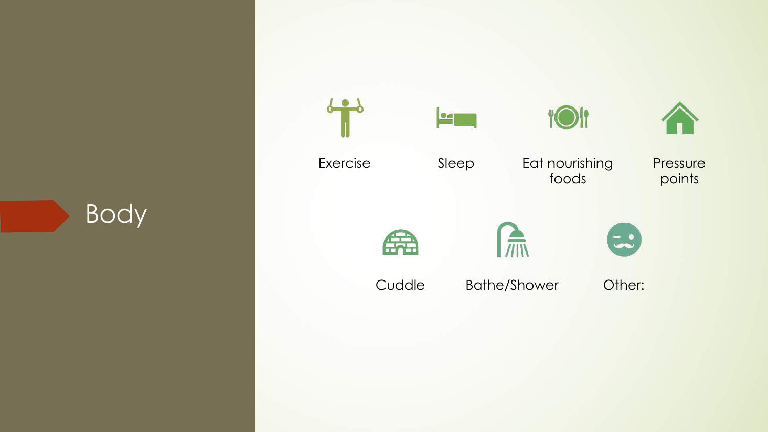

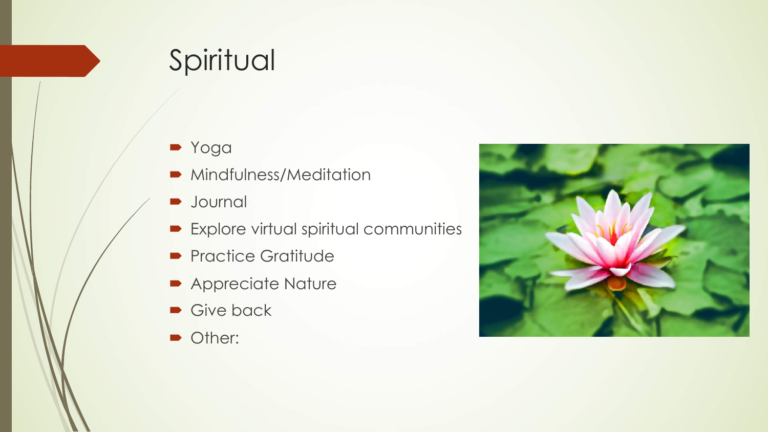## Spiritual

- $\rightarrow$  Yoga
- $\blacktriangleright$  Mindfulness/Meditation
- Journal
- $\blacktriangleright$  Explore virtual spiritual communities
- Practice Gratitude
- Appreciate Nature
- $\blacktriangleright$  Give back
- Other:

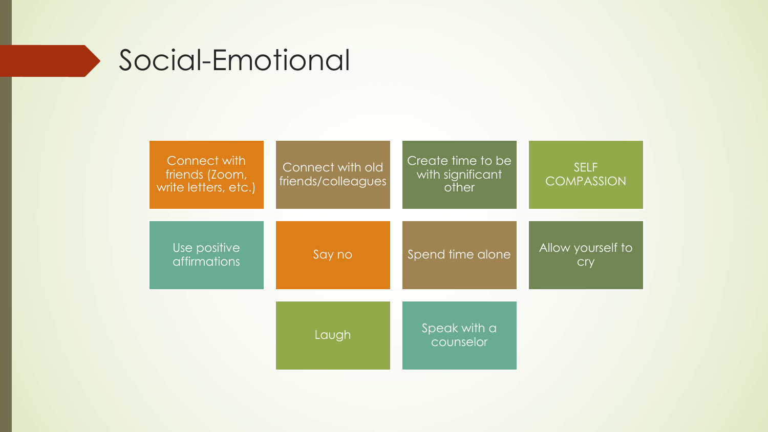

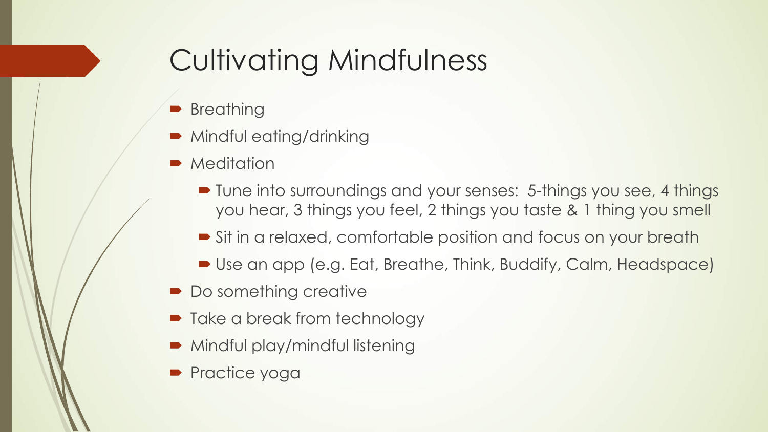# Cultivating Mindfulness

- **Breathing**
- Mindful eating/drinking
- **Meditation** 
	- Tune into surroundings and your senses: 5-things you see, 4 things you hear, 3 things you feel, 2 things you taste & 1 thing you smell
	- Sit in a relaxed, comfortable position and focus on your breath
	- Use an app (e.g. Eat, Breathe, Think, Buddify, Calm, Headspace)
- Do something creative
- Take a break from technology
- Mindful play/mindful listening
- Practice yoga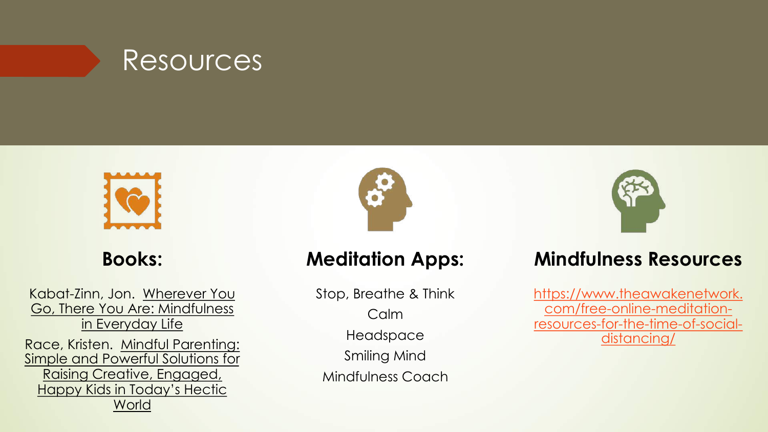



#### **Books:**

Kabat-Zinn, Jon. Wherever You Go, There You Are: Mindfulness in Everyday Life

Race, Kristen. Mindful Parenting: Simple and Powerful Solutions for Raising Creative, Engaged, Happy Kids in Today's Hectic **World** 



#### **Meditation Apps:**

Stop, Breathe & Think Calm Headspace Smiling Mind Mindfulness Coach



#### **Mindfulness Resources**

https://www.theawakenetwork. com/free-online-meditation[resources-for-the-time-of-social](https://www.theawakenetwork.com/free-online-meditation-resources-for-the-time-of-social-distancing/)distancing/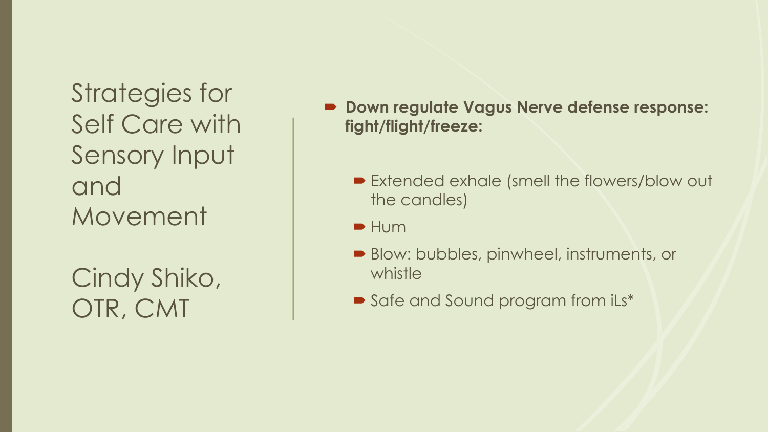Strategies for Self Care with Sensory Input and Movement

Cindy Shiko, OTR, CMT

- ´ **Down regulate Vagus Nerve defense response: fight/flight/freeze:**
	- Extended exhale (smell the flowers/blow out the candles)
	- $\blacksquare$  Hum
	- Blow: bubbles, pinwheel, instruments, or whistle
	- Safe and Sound program from iLs\*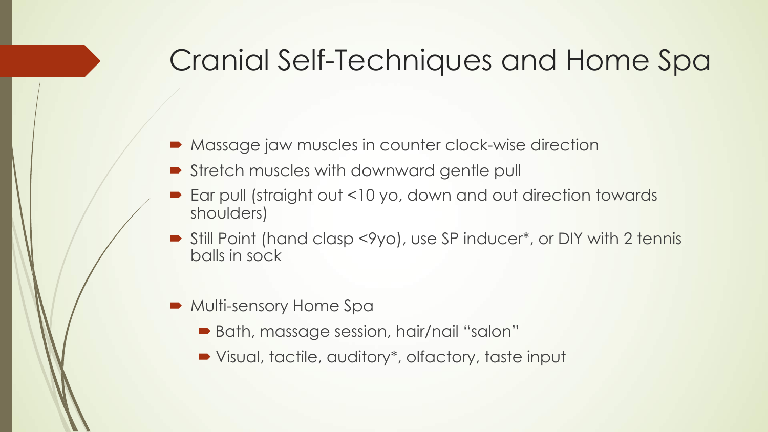### Cranial Self-Techniques and Home Spa

- Massage jaw muscles in counter clock-wise direction
- **Stretch muscles with downward gentle pull**
- ´ Ear pull (straight out <10 yo, down and out direction towards shoulders)
- Still Point (hand clasp <9yo), use SP inducer\*, or DIY with 2 tennis balls in sock
- Multi-sensory Home Spa
	- Bath, massage session, hair/nail "salon"
	- Visual, tactile, auditory\*, olfactory, taste input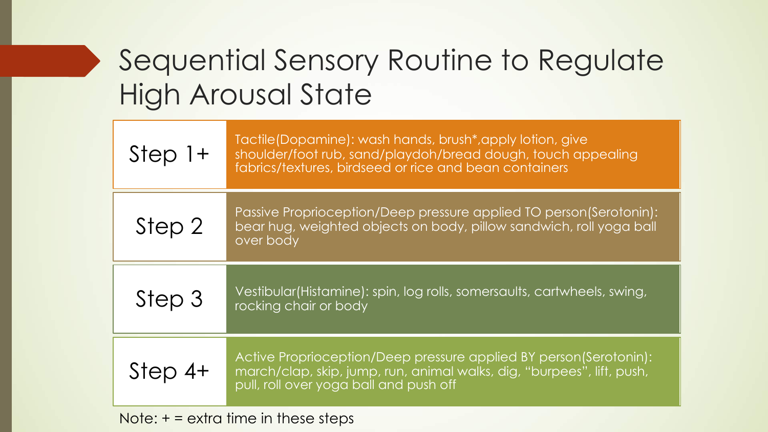# Sequential Sensory Routine to Regulate High Arousal State

| $Step 1+$ | Tactile (Dopamine): wash hands, brush*, apply lotion, give<br>shoulder/foot rub, sand/playdoh/bread dough, touch appealing<br>fabrics/textures, birdseed or rice and bean containers  |
|-----------|---------------------------------------------------------------------------------------------------------------------------------------------------------------------------------------|
| Step 2    | Passive Proprioception/Deep pressure applied TO person(Serotonin):<br>bear hug, weighted objects on body, pillow sandwich, roll yoga ball<br>over body                                |
| Step 3    | Vestibular(Histamine): spin, log rolls, somersaults, cartwheels, swing,<br>rocking chair or body                                                                                      |
| $Step 4+$ | Active Proprioception/Deep pressure applied BY person(Serotonin):<br>march/clap, skip, jump, run, animal walks, dig, "burpees", lift, push,<br>pull, roll over yoga ball and push off |

Note:  $+$  = extra time in these steps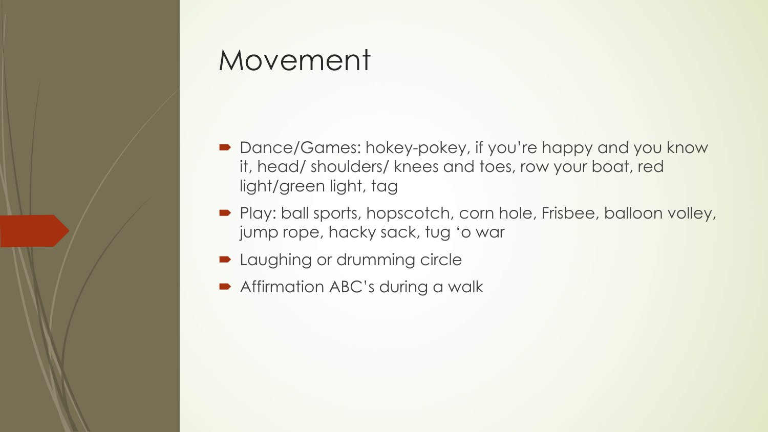### Movement

- $\blacktriangleright$  Dance/Games: hokey-pokey, if you're happy and you know it, head/ shoulders/ knees and toes, row your boat, red light/green light, tag
- Play: ball sports, hopscotch, corn hole, Frisbee, balloon volley, jump rope, hacky sack, tug 'o war
- Laughing or drumming circle
- **Affirmation ABC's during a walk**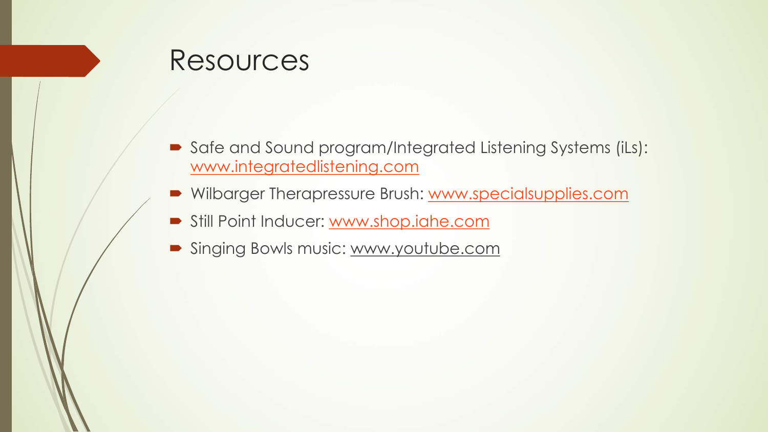#### Resources

- Safe and Sound program/Integrated Listening Systems (iLs): [www.integratedlistening.com](http://www.integratedlistening.com/)
- Wilbarger Therapressure Brush: [www.specialsupplies.com](http://www.specialsupplies.com/)
- Still Point Inducer: [www.shop.iahe.com](http://www.shop.iahe.com/)
- Singing Bowls music: www.youtube.com